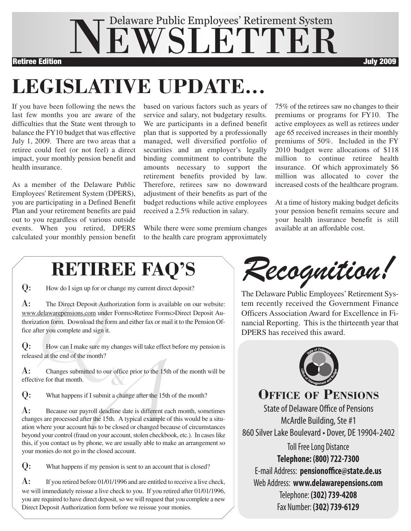

# **LEGISLATIVE UPDATE...**

If you have been following the news the last few months you are aware of the difficulties that the State went through to balance the FY10 budget that was effective July 1, 2009. There are two areas that a retiree could feel (or not feel) a direct impact, your monthly pension benefit and health insurance.

As a member of the Delaware Public Employees' Retirement System (DPERS), you are participating in a Defined Benefit Plan and your retirement benefits are paid out to you regardless of various outside events. When you retired, DPERS calculated your monthly pension benefit based on various factors such as years of service and salary, not budgetary results. We are participants in a defined benefit plan that is supported by a professionally managed, well diversified portfolio of securities and an employer's legally binding commitment to contribute the amounts necessary to support the retirement benefits provided by law. Therefore, retirees saw no downward adjustment of their benefits as part of the budget reductions while active employees received a 2.5% reduction in salary.

While there were some premium changes to the health care program approximately

75% of the retirees saw no changes to their premiums or programs for FY10. The active employees as well as retirees under age 65 received increases in their monthly premiums of 50%. Included in the FY 2010 budget were allocations of \$118 million to continue retiree health insurance. Of which approximately \$6 million was allocated to cover the increased costs of the healthcare program.

At a time of history making budget deficits your pension benefit remains secure and your health insurance benefit is still available at an affordable cost.

## **RETIREE FAQ'S**

Q: How do <sup>I</sup> sign up for or change my current direct deposit?

A: The Direct Deposit Authorization form is available on our website: www.delawarepensions.com under Forms>Retiree Forms>Direct Deposit Authorization form. Download the form and either fax or mail it to the Pension Office after you complete and sign it.

**Q:** How can I make sure my changes will take effect before my pension is released at the end of the month?<br> **A:** Changes submitted to our office prior to the 15th of the month will be effective for that month. released at the end of the month?

 $\mathbf{A}$ : Changes submitted to our office prior to the 15th of the month will be effective for that month.

Q: What happens if <sup>I</sup> submit <sup>a</sup> change after the 15th of the month?

McArdle Building, Ste #1 **A** 860 Silver Lake Boulevard • Dover, DE 19904-2402<br>
McArdle Building, Ste #1 **A** structure and structure and structure and structure and structure and structure and structure and structure and st A: Because our payroll deadline date is different each month, sometimes changes are processed after the 15th. A typical example of this would be a situation where your account has to be closed or changed because of circumstances beyond your control (fraud on your account, stolen checkbook, etc.). In cases like this, if you contact us by phone, we are usually able to make an arrangement so your monies do not go in the closed account.

Q: What happens if my pension is sent to an account that is closed?

 $\mathbf{A}$ : If you retired before 01/01/1996 and are entitled to receive a live check, we will immediately reissue a live check to you. If you retired after 01/01/1996, you are required to have direct deposit, so we will request that you complete a new Direct Deposit Authorization form before we reissue your monies.

*Recognition!*

The Delaware Public Employees' Retirement System recently received the Government Finance Officers Association Award for Excellence in Financial Reporting. This is the thirteenth year that DPERS has received this award.



**OFFICE OF PENSIONS**

State of Delaware Office of Pensions

Toll Free Long Distance **Telephone: (800) 722-7300** E-mail Address: **pensionoffice@state.de.us** Web Address: **www.delawarepensions.com** Telephone: **(302) 739-4208** Fax Number: **(302) 739-6129**